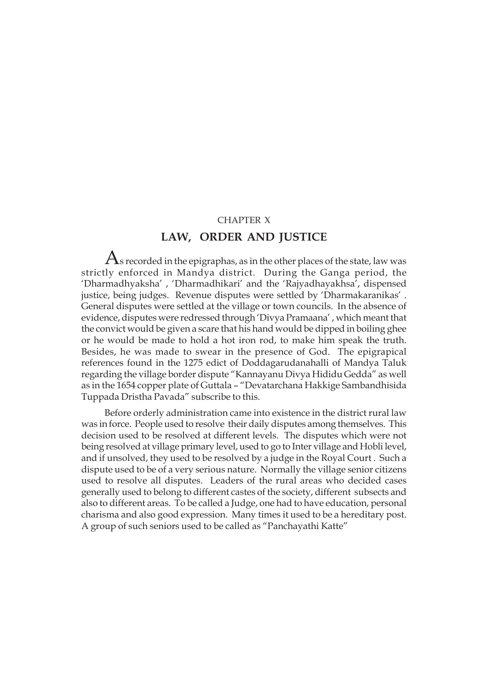# CHAPTER X

# **LAW, ORDER AND JUSTICE**

 ${\rm A}$ s recorded in the epigraphas, as in the other places of the state, law was strictly enforced in Mandya district. During the Ganga period, the 'Dharmadhyaksha' , 'Dharmadhikari' and the 'Rajyadhayakhsa', dispensed justice, being judges. Revenue disputes were settled by 'Dharmakaranikas' . General disputes were settled at the village or town councils. In the absence of evidence, disputes were redressed through 'Divya Pramaana' , which meant that the convict would be given a scare that his hand would be dipped in boiling ghee or he would be made to hold a hot iron rod, to make him speak the truth. Besides, he was made to swear in the presence of God. The epigrapical references found in the 1275 edict of Doddagarudanahalli of Mandya Taluk regarding the village border dispute "Kannayanu Divya Hididu Gedda" as well as in the 1654 copper plate of Guttala – "Devatarchana Hakkige Sambandhisida Tuppada Dristha Pavada" subscribe to this.

Before orderly administration came into existence in the district rural law was in force. People used to resolve their daily disputes among themselves. This decision used to be resolved at different levels. The disputes which were not being resolved at village primary level, used to go to Inter village and Hobli level, and if unsolved, they used to be resolved by a judge in the Royal Court . Such a dispute used to be of a very serious nature. Normally the village senior citizens used to resolve all disputes. Leaders of the rural areas who decided cases generally used to belong to different castes of the society, different subsects and also to different areas. To be called a Judge, one had to have education, personal charisma and also good expression. Many times it used to be a hereditary post. A group of such seniors used to be called as "Panchayathi Katte"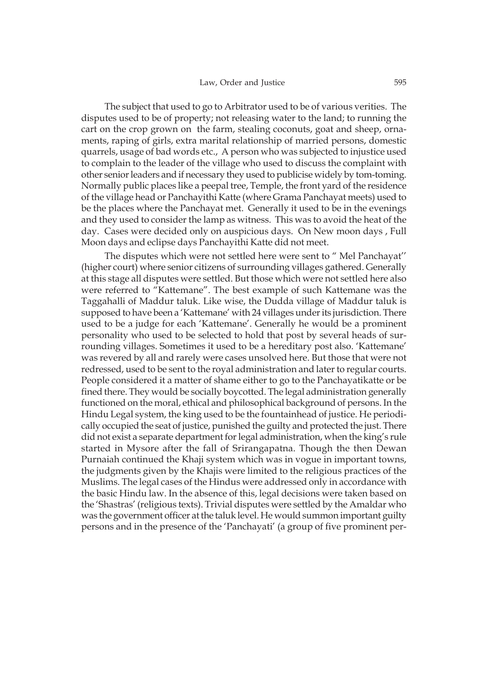The subject that used to go to Arbitrator used to be of various verities. The disputes used to be of property; not releasing water to the land; to running the cart on the crop grown on the farm, stealing coconuts, goat and sheep, ornaments, raping of girls, extra marital relationship of married persons, domestic quarrels, usage of bad words etc., A person who was subjected to injustice used to complain to the leader of the village who used to discuss the complaint with other senior leaders and if necessary they used to publicise widely by tom-toming. Normally public places like a peepal tree, Temple, the front yard of the residence of the village head or Panchayithi Katte (where Grama Panchayat meets) used to be the places where the Panchayat met. Generally it used to be in the evenings and they used to consider the lamp as witness. This was to avoid the heat of the day. Cases were decided only on auspicious days. On New moon days , Full Moon days and eclipse days Panchayithi Katte did not meet.

The disputes which were not settled here were sent to " Mel Panchayat'' (higher court) where senior citizens of surrounding villages gathered. Generally at this stage all disputes were settled. But those which were not settled here also were referred to "Kattemane". The best example of such Kattemane was the Taggahalli of Maddur taluk. Like wise, the Dudda village of Maddur taluk is supposed to have been a 'Kattemane' with 24 villages under its jurisdiction. There used to be a judge for each 'Kattemane'. Generally he would be a prominent personality who used to be selected to hold that post by several heads of surrounding villages. Sometimes it used to be a hereditary post also. 'Kattemane' was revered by all and rarely were cases unsolved here. But those that were not redressed, used to be sent to the royal administration and later to regular courts. People considered it a matter of shame either to go to the Panchayatikatte or be fined there. They would be socially boycotted. The legal administration generally functioned on the moral, ethical and philosophical background of persons. In the Hindu Legal system, the king used to be the fountainhead of justice. He periodically occupied the seat of justice, punished the guilty and protected the just. There did not exist a separate department for legal administration, when the king's rule started in Mysore after the fall of Srirangapatna. Though the then Dewan Purnaiah continued the Khaji system which was in vogue in important towns, the judgments given by the Khajis were limited to the religious practices of the Muslims. The legal cases of the Hindus were addressed only in accordance with the basic Hindu law. In the absence of this, legal decisions were taken based on the 'Shastras' (religious texts). Trivial disputes were settled by the Amaldar who was the government officer at the taluk level. He would summon important guilty persons and in the presence of the 'Panchayati' (a group of five prominent per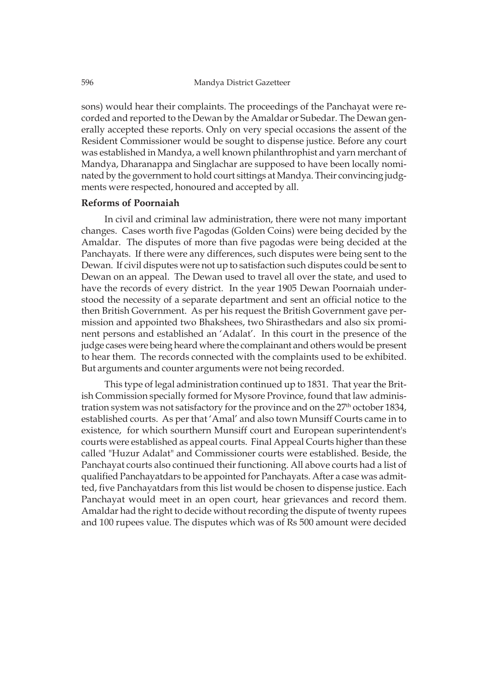sons) would hear their complaints. The proceedings of the Panchayat were recorded and reported to the Dewan by the Amaldar or Subedar. The Dewan generally accepted these reports. Only on very special occasions the assent of the Resident Commissioner would be sought to dispense justice. Before any court was established in Mandya, a well known philanthrophist and yarn merchant of Mandya, Dharanappa and Singlachar are supposed to have been locally nominated by the government to hold court sittings at Mandya. Their convincing judgments were respected, honoured and accepted by all.

# **Reforms of Poornaiah**

In civil and criminal law administration, there were not many important changes. Cases worth five Pagodas (Golden Coins) were being decided by the Amaldar. The disputes of more than five pagodas were being decided at the Panchayats. If there were any differences, such disputes were being sent to the Dewan. If civil disputes were not up to satisfaction such disputes could be sent to Dewan on an appeal. The Dewan used to travel all over the state, and used to have the records of every district. In the year 1905 Dewan Poornaiah understood the necessity of a separate department and sent an official notice to the then British Government. As per his request the British Government gave permission and appointed two Bhakshees, two Shirasthedars and also six prominent persons and established an 'Adalat'. In this court in the presence of the judge cases were being heard where the complainant and others would be present to hear them. The records connected with the complaints used to be exhibited. But arguments and counter arguments were not being recorded.

This type of legal administration continued up to 1831. That year the British Commission specially formed for Mysore Province, found that law administration system was not satisfactory for the province and on the 27<sup>th</sup> october 1834, established courts. As per that 'Amal' and also town Munsiff Courts came in to existence, for which sourthern Munsiff court and European superintendent's courts were established as appeal courts. Final Appeal Courts higher than these called "Huzur Adalat" and Commissioner courts were established. Beside, the Panchayat courts also continued their functioning. All above courts had a list of qualified Panchayatdars to be appointed for Panchayats. After a case was admitted, five Panchayatdars from this list would be chosen to dispense justice. Each Panchayat would meet in an open court, hear grievances and record them. Amaldar had the right to decide without recording the dispute of twenty rupees and 100 rupees value. The disputes which was of Rs 500 amount were decided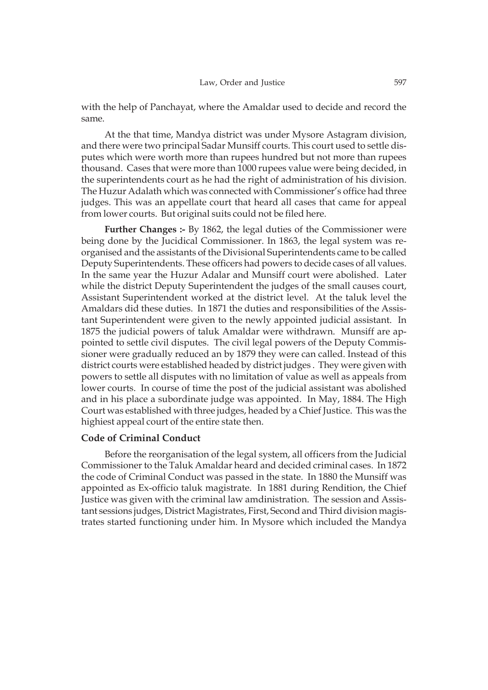with the help of Panchayat, where the Amaldar used to decide and record the same.

At the that time, Mandya district was under Mysore Astagram division, and there were two principal Sadar Munsiff courts. This court used to settle disputes which were worth more than rupees hundred but not more than rupees thousand. Cases that were more than 1000 rupees value were being decided, in the superintendents court as he had the right of administration of his division. The Huzur Adalath which was connected with Commissioner's office had three judges. This was an appellate court that heard all cases that came for appeal from lower courts. But original suits could not be filed here.

**Further Changes :-** By 1862, the legal duties of the Commissioner were being done by the Jucidical Commissioner. In 1863, the legal system was reorganised and the assistants of the Divisional Superintendents came to be called Deputy Superintendents. These officers had powers to decide cases of all values. In the same year the Huzur Adalar and Munsiff court were abolished. Later while the district Deputy Superintendent the judges of the small causes court, Assistant Superintendent worked at the district level. At the taluk level the Amaldars did these duties. In 1871 the duties and responsibilities of the Assistant Superintendent were given to the newly appointed judicial assistant. In 1875 the judicial powers of taluk Amaldar were withdrawn. Munsiff are appointed to settle civil disputes. The civil legal powers of the Deputy Commissioner were gradually reduced an by 1879 they were can called. Instead of this district courts were established headed by district judges . They were given with powers to settle all disputes with no limitation of value as well as appeals from lower courts. In course of time the post of the judicial assistant was abolished and in his place a subordinate judge was appointed. In May, 1884. The High Court was established with three judges, headed by a Chief Justice. This was the highiest appeal court of the entire state then.

# **Code of Criminal Conduct**

Before the reorganisation of the legal system, all officers from the Judicial Commissioner to the Taluk Amaldar heard and decided criminal cases. In 1872 the code of Criminal Conduct was passed in the state. In 1880 the Munsiff was appointed as Ex-officio taluk magistrate. In 1881 during Rendition, the Chief Justice was given with the criminal law amdinistration. The session and Assistant sessions judges, District Magistrates, First, Second and Third division magistrates started functioning under him. In Mysore which included the Mandya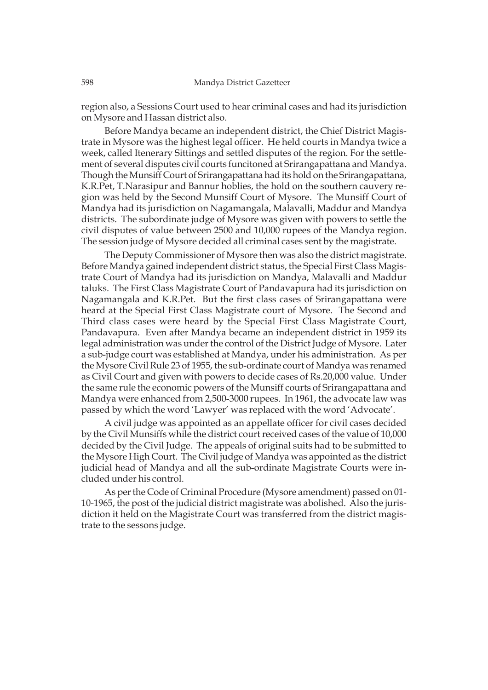region also, a Sessions Court used to hear criminal cases and had its jurisdiction on Mysore and Hassan district also.

Before Mandya became an independent district, the Chief District Magistrate in Mysore was the highest legal officer. He held courts in Mandya twice a week, called Itenerary Sittings and settled disputes of the region. For the settlement of several disputes civil courts funcitoned at Srirangapattana and Mandya. Though the Munsiff Court of Srirangapattana had its hold on the Srirangapattana, K.R.Pet, T.Narasipur and Bannur hoblies, the hold on the southern cauvery region was held by the Second Munsiff Court of Mysore. The Munsiff Court of Mandya had its jurisdiction on Nagamangala, Malavalli, Maddur and Mandya districts. The subordinate judge of Mysore was given with powers to settle the civil disputes of value between 2500 and 10,000 rupees of the Mandya region. The session judge of Mysore decided all criminal cases sent by the magistrate.

The Deputy Commissioner of Mysore then was also the district magistrate. Before Mandya gained independent district status, the Special First Class Magistrate Court of Mandya had its jurisdiction on Mandya, Malavalli and Maddur taluks. The First Class Magistrate Court of Pandavapura had its jurisdiction on Nagamangala and K.R.Pet. But the first class cases of Srirangapattana were heard at the Special First Class Magistrate court of Mysore. The Second and Third class cases were heard by the Special First Class Magistrate Court, Pandavapura. Even after Mandya became an independent district in 1959 its legal administration was under the control of the District Judge of Mysore. Later a sub-judge court was established at Mandya, under his administration. As per the Mysore Civil Rule 23 of 1955, the sub-ordinate court of Mandya was renamed as Civil Court and given with powers to decide cases of Rs.20,000 value. Under the same rule the economic powers of the Munsiff courts of Srirangapattana and Mandya were enhanced from 2,500-3000 rupees. In 1961, the advocate law was passed by which the word 'Lawyer' was replaced with the word 'Advocate'.

A civil judge was appointed as an appellate officer for civil cases decided by the Civil Munsiffs while the district court received cases of the value of 10,000 decided by the Civil Judge. The appeals of original suits had to be submitted to the Mysore High Court. The Civil judge of Mandya was appointed as the district judicial head of Mandya and all the sub-ordinate Magistrate Courts were included under his control.

As per the Code of Criminal Procedure (Mysore amendment) passed on 01- 10-1965, the post of the judicial district magistrate was abolished. Also the jurisdiction it held on the Magistrate Court was transferred from the district magistrate to the sessons judge.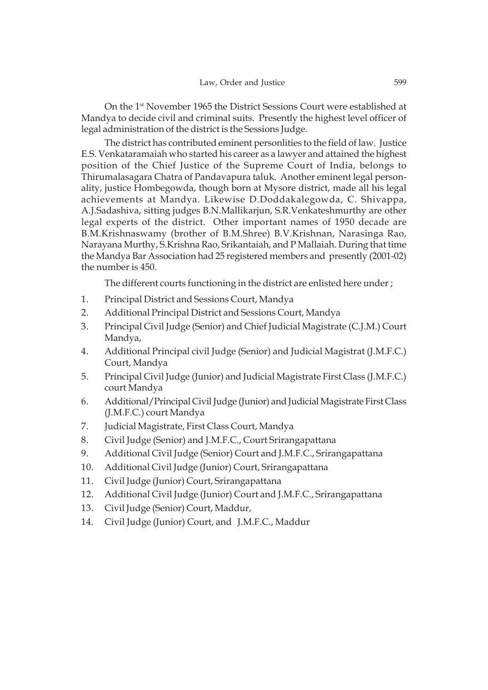On the 1st November 1965 the District Sessions Court were established at Mandya to decide civil and criminal suits. Presently the highest level officer of legal administration of the district is the Sessions Judge.

The district has contributed eminent personlities to the field of law. Justice E.S. Venkataramaiah who started his career as a lawyer and attained the highest position of the Chief Justice of the Supreme Court of India, belongs to Thirumalasagara Chatra of Pandavapura taluk. Another eminent legal personality, justice Hombegowda, though born at Mysore district, made all his legal achievements at Mandya. Likewise D.Doddakalegowda, C. Shivappa, A.J.Sadashiva, sitting judges B.N.Mallikarjun, S.R.Venkateshmurthy are other legal experts of the district. Other important names of 1950 decade are B.M.Krishnaswamy (brother of B.M.Shree) B.V.Krishnan, Narasinga Rao, Narayana Murthy, S.Krishna Rao, Srikantaiah, and P Mallaiah. During that time the Mandya Bar Association had 25 registered members and presently (2001-02) the number is 450.

The different courts functioning in the district are enlisted here under ;

- 1. Principal District and Sessions Court, Mandya
- 2. Additional Principal District and Sessions Court, Mandya
- 3. Principal Civil Judge (Senior) and Chief Judicial Magistrate (C.J.M.) Court Mandya,
- 4. Additional Principal civil Judge (Senior) and Judicial Magistrat (J.M.F.C.) Court, Mandya
- 5. Principal Civil Judge (Junior) and Judicial Magistrate First Class (J.M.F.C.) court Mandya
- 6. Additional/Principal Civil Judge (Junior) and Judicial Magistrate First Class (J.M.F.C.) court Mandya
- 7. Judicial Magistrate, First Class Court, Mandya
- 8. Civil Judge (Senior) and J.M.F.C., Court Srirangapattana
- 9. Additional Civil Judge (Senior) Court and J.M.F.C., Srirangapattana
- 10. Additional Civil Judge (Junior) Court, Srirangapattana
- 11. Civil Judge (Junior) Court, Srirangapattana
- 12. Additional Civil Judge (Junior) Court and J.M.F.C., Srirangapattana
- 13. Civil Judge (Senior) Court, Maddur,
- 14. Civil Judge (Junior) Court, and J.M.F.C., Maddur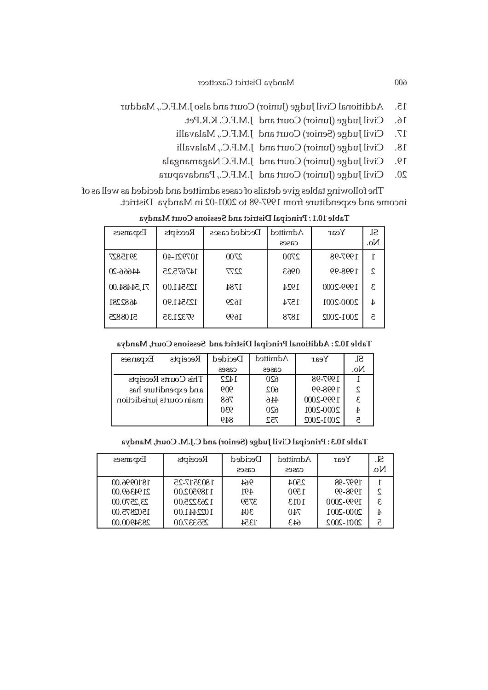- 15. Additional Civil Judge (Junior) Court and also J.M.F.C., Maddur
	- 16. Civil Judge (Junior) Court and J.M.F.C. K.R.Pet.
	- 17. Civil Judge (Senior) Court and J.M.F.C., Malavalli
	- 18. Civil Judge (Junior) Court and J.M.F.C., Malavalli
	- 19. Civil Judge (Junior) Court and J.M.F.C Nagamangala
	- 20. Civil Judge (Junior) Court and J.M.F.C., Pandavapura

The following tables give details of cases admitted and decided as well as of income and expenditure from 1997-98 to 2001-02 in Mandya District.

**Principal District and Sessions Court Mandya** *:* **Table 10.1** 

| Expanses    | Receipts      | Decided cases | Admitted | Year      | Sl. |
|-------------|---------------|---------------|----------|-----------|-----|
|             |               |               | cases    |           | No. |
| 3915827     | $107921 - 40$ | 2700          | 2700     | 1997-98   | T   |
| $4466-20$   | 147675.25     | 2277          | 0963     | 1998-99   | 2   |
| 71,54484.00 | 123541.00     | 1784          | 1924     | 1999-2000 | 3   |
| 4682281     | 123541.90     | 1629          | 1574     | 2000-2001 | 4   |
| 5108825     | 97321.35      | 1699          | 1878     | 2001-2002 | ā   |

**Table 10.2 : Additional Principal District and Sessions Court, Mandya**

| Expanses                 | Receipts             | Decided | Admitted | Year      | SI. |
|--------------------------|----------------------|---------|----------|-----------|-----|
|                          |                      | cases   | cases    |           | No. |
|                          | This Courts Receipts | 1422    | 620      | 1997-98   |     |
|                          | and expenditure has  | 909     | 602      | 1998-99   |     |
| main courts jurisdiction |                      | 768     | 446      | 1999-2000 | £.  |
|                          |                      | 930     | 620      | 2000-2001 |     |
|                          |                      | 849     | 752      | 2001-2002 | 5   |

**Table 10.3 : Principal Civil Judge (Senior) and C.J.M. Court, Mandya**

| Expanses   | Receipts   | Decided | Admitted | Year      | Sl.          |
|------------|------------|---------|----------|-----------|--------------|
|            |            | cases   | cases    |           | $N_{\Omega}$ |
| 1810996.00 | 1803517-25 | 964     | 2504     | 1997-98   |              |
| 2194369.00 | 1189502.00 | 491     | 1590     | 1998-99   |              |
| 23,2570.00 | 1263225.00 | 3759    | 1013     | 1999-2000 |              |
| 1502875.00 | 1022441.00 | 304     | 740      | 2000-2001 |              |
| 2834900.00 | 255337.00  | 1354    | 643      | 2001-2002 |              |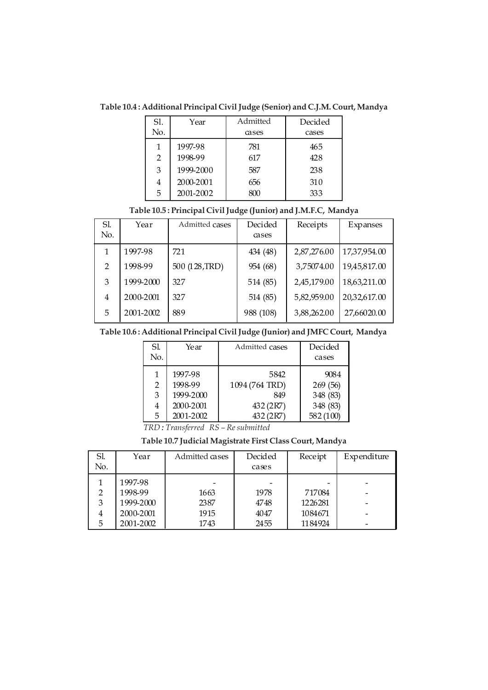**Table 10.4 : Additional Principal Civil Judge (Senior) and C.J.M. Court, Mandya**

| Sl. | Year      | Admitted | Decided |
|-----|-----------|----------|---------|
| No. |           | cases    | cases   |
| 1   | 1997-98   | 781      | 465     |
| 2   | 1998-99   | 617      | 428     |
| 3   | 1999-2000 | 587      | 238     |
| 4   | 2000-2001 | 656      | 310     |
| 5   | 2001-2002 | 800      | 333     |

| Sl.            | Year      | Admitted cases | Decided   | Receipts    | Expanses     |
|----------------|-----------|----------------|-----------|-------------|--------------|
| No.            |           |                | cases     |             |              |
|                | 1997-98   | 721            | 434 (48)  | 2,87,276.00 | 17,37,954.00 |
| $\mathcal{P}$  | 1998-99   | 500 (128, TRD) | 954 (68)  | 3,75074.00  | 19,45,817.00 |
| 3              | 1999-2000 | 327            | 514 (85)  | 2,45,179.00 | 18,63,211.00 |
| $\overline{4}$ | 2000-2001 | 327            | 514 (85)  | 5,82,959.00 | 20,32,617.00 |
| 5              | 2001-2002 | 889            | 988 (108) | 3,88,262.00 | 27,66020.00  |

### **Table 10.5 : Principal Civil Judge (Junior) and J.M.F.C, Mandya**

**Table 10.6 : Additional Principal Civil Judge (Junior) and JMFC Court, Mandya**

| SI. | Year      | Admitted cases | Decided  |
|-----|-----------|----------------|----------|
| No. |           |                | cases    |
|     | 1997-98   | 5842           | 9084     |
| 2   | 1998-99   | 1094 (764 TRD) | 269 (56) |
| 3   | 1999-2000 | 849            | 348 (83) |
| 4   | 2000-2001 | 432 (2R7)      | 348 (83) |
| 5   | 2001-2002 | 432 (2R7)      | 582(100) |

*TRD : Transferred RS – Re submitted*

# **Table 10.7 Judicial Magistrate First Class Court, Mandya**

| Sl.            | Year      | Admitted cases | Decided | Receipt | Expenditure |
|----------------|-----------|----------------|---------|---------|-------------|
| No.            |           |                | cases   |         |             |
|                | 1997-98   |                |         |         |             |
| 2              | 1998-99   | 1663           | 1978    | 717084  |             |
| 3              | 1999-2000 | 2387           | 4748    | 1226281 |             |
| $\overline{4}$ | 2000-2001 | 1915           | 4047    | 1084671 |             |
| 5              | 2001-2002 | 1743           | 2455    | 1184924 |             |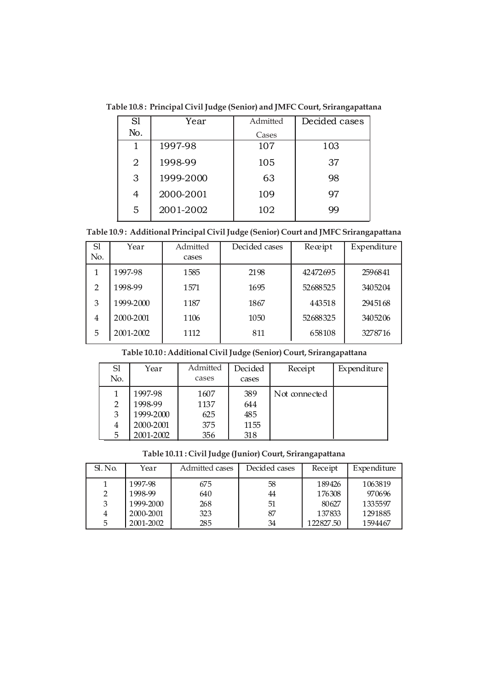**Table 10.8 : Principal Civil Judge (Senior) and JMFC Court, Srirangapattana**

| S1  | Year      | Admitted | Decided cases |
|-----|-----------|----------|---------------|
| No. |           | Cases    |               |
|     | 1997-98   | 107      | 103           |
| 2   | 1998-99   | 105      | 37            |
| 3   | 1999-2000 | 63       | 98            |
| 4   | 2000-2001 | 109      | 97            |
| 5   | 2001-2002 | 102      | 99            |

**Table 10.9 : Additional Principal Civil Judge (Senior) Court and JMFC Srirangapattana**

| Sl<br>No.      | Year      | Admitted<br>cases | Decided cases | Receipt  | Expenditure |
|----------------|-----------|-------------------|---------------|----------|-------------|
|                |           |                   |               |          |             |
|                | 1997-98   | 1585              | 2198          | 42472695 | 2596841     |
| $\overline{2}$ | 1998-99   | 1571              | 1695          | 52688525 | 3405204     |
| 3              | 1999-2000 | 1187              | 1867          | 443518   | 2945168     |
| 4              | 2000-2001 | 1106              | 1050          | 52688325 | 3405206     |
| 5              | 2001-2002 | 1112              | 811           | 658108   | 3278716     |

**Table 10.10 : Additional Civil Judge (Senior) Court, Srirangapattana**

| S1             | Year      | Admitted | Decided | Receipt       | Expenditure |
|----------------|-----------|----------|---------|---------------|-------------|
| No.            |           | cases    | cases   |               |             |
|                | 1997-98   | 1607     | 389     | Not connected |             |
| $\overline{2}$ | 1998-99   | 1137     | 644     |               |             |
| 3              | 1999-2000 | 625      | 485     |               |             |
| 4              | 2000-2001 | 375      | 1155    |               |             |
| 5              | 2001-2002 | 356      | 318     |               |             |

**Table 10.11 : Civil Judge (Junior) Court, Srirangapattana**

| $SL$ No. | Year      | Admitted cases | Decided cases | Receipt   | Expenditure |
|----------|-----------|----------------|---------------|-----------|-------------|
|          | 1997-98   | 675            | 58            | 189426    | 1063819     |
| 2        | 1998-99   | 640            | 44            | 176308    | 970696      |
| 3        | 1999-2000 | 268            | 51            | 80627     | 1335597     |
| 4        | 2000-2001 | 323            | 87            | 137833    | 1291885     |
| 5        | 2001-2002 | 285            | 34            | 122827.50 | 1594467     |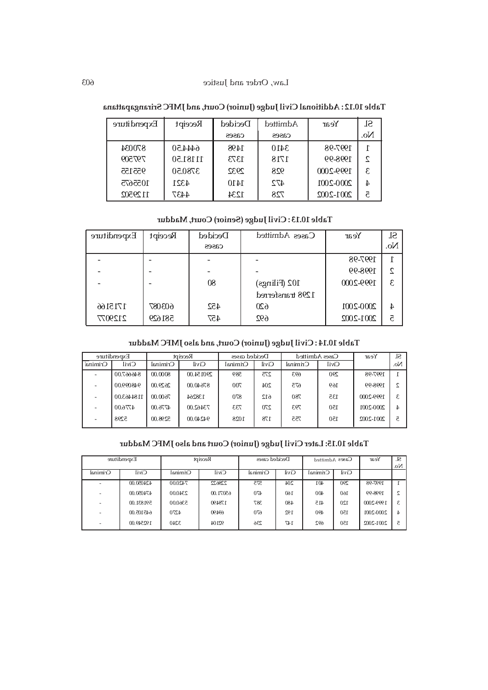| Table 10.12: Additional Civil Judge (Junior) Court, and JMFC Srirangapattana |  |  |
|------------------------------------------------------------------------------|--|--|
|------------------------------------------------------------------------------|--|--|

| Expenditure | Receipt  | Decided | Admitted | Year      | SI. |
|-------------|----------|---------|----------|-----------|-----|
|             |          | cases   | cases    |           | No. |
| 870034      | 6444.50  | 1498    | 3410     | 1997-98   |     |
| 797509      | 11181.50 | 1373    | 1718     | 1998-99   | C   |
| 955155      | 3780.50  | 2932    | 928      | 1999-2000 | £.  |
| 1055675     | 4321     | 1410    | 472      | 2000-2001 | 4   |
| 1129502     | 4437     | 1234    | 728      | 2001-2002 | 5   |

### **Table 10.13 : Civil Judge (Senior) Court, Maddur**

| Expenditure | Receipt | Decided | Cases Admitted   | Year      | Sl.            |
|-------------|---------|---------|------------------|-----------|----------------|
|             |         | cases   |                  |           | No.            |
|             |         |         |                  | 1997-98   |                |
|             |         |         |                  | 1998-99   | 2              |
|             |         | 80      | 102 (Filings)    | 1999-2000 | S              |
|             |         |         | 1298 transferred |           |                |
| 1715166     | 603087  | 452     | 620              | 2000-2001 | $\overline{4}$ |
| 2129077     | 581629  | 457     | 692              | 2001-2002 | 5              |

# **Court, and also JMFC Maddur Table 10.14 : Civil Judge (Junior)**

|                          | Expenditure<br>Receipt |          |           | Decided cases |       | Cases Admitted |              | Year          | Sl.             |
|--------------------------|------------------------|----------|-----------|---------------|-------|----------------|--------------|---------------|-----------------|
| Criminal                 | <b>Civil</b>           | Criminal | Civil     | Criminal      | Civil | Criminal       | <b>Civil</b> |               | No.             |
|                          | 846667.00              | 00.0008  | 290154.00 | 589           | 275   | 693            | 290          | 1997-98       |                 |
| $\overline{\phantom{a}}$ | 948099.00              | 2629.00  | 87640.00  | 700           | 204   | 675            | 169          | 1998-99       | 2               |
|                          | 1184463.00             | 7600.00  | 138264    | 870           | 612   | 780            | 135          | 1999-2000     | 3               |
|                          | 4776.00                | 4776.00  | 73462.00  | 733           | 270   | 793            | 150          | 2000-2001     | $4\overline{ }$ |
| $\overline{\phantom{a}}$ | 5298                   | 5298.00  | 94240.00  | 1028          | 178   | 755            | 150          | $2001 - 2002$ | ā               |

# **Table 10.15: Later Civil Judge (Junior) Court and also JMFC Maddur**

| Expenditure |           |          | Receipt  | Decided cases |       | Cases Admitted |       | Year      |     |
|-------------|-----------|----------|----------|---------------|-------|----------------|-------|-----------|-----|
| Criminal    | Civil     | Criminal | Civil    | Criminal      | Civil | Criminal       | Civil |           | No. |
| -           | 424050.00 | 7420.00  | 228622   | 575           | 204   | 401            | 290   | 1997-98   |     |
| ٠           | 474050.00 | 2340.00  | 65071.00 | 470           | 160   | 400            | 160   | 1998-99   |     |
| ٠           | 591831.00 | 5360.00  | 178490   | 387           | 480   | 415            | 120   | 1999-2000 | 3   |
| -           | 645105.00 | 4270     | 06769    | 670           | 192   | 490            | 150   | 2000-2001 | 4   |
| ۰           | 192549.00 | 3240     | 92104    | 236           | 147   | 692            | 150   | 2001-2002 | 5   |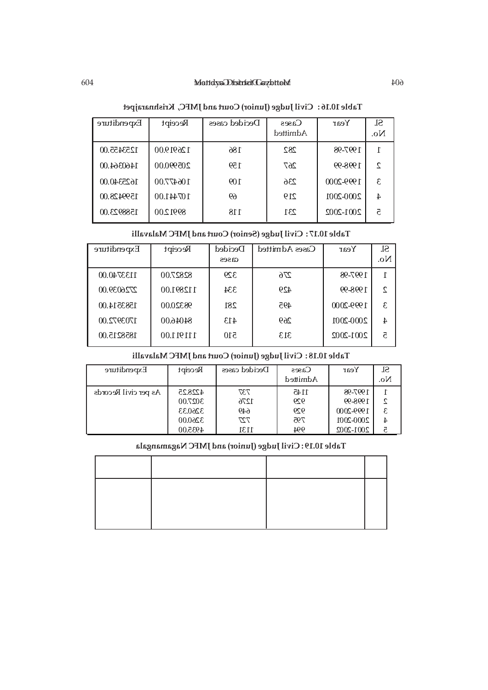#### 604 Mandya District Gazetteer 604 Mandya District Gazetteer

| Expenditure | Receipt   | Decided cases | $\cos s$<br>Admitted | Year      | Sl.<br>No. |
|-------------|-----------|---------------|----------------------|-----------|------------|
| 1253455.00  | 126919.00 | 186           | 282                  | 1997-98   |            |
| 1460364.00  | 205990.00 | 159           | 267                  | 1998-99   | ς          |
| 1625340.00  | 106477.00 | 109           | 236                  | 1999-2000 | ε.         |
| 1599428.00  | 107441.00 | 69            | 219                  | 2000-2001 | 4          |
| 1588923.00  | 8991 2.00 | 118           | 231                  | 2001-2002 | 5          |

# **Table 10.16 : Civil Judge (Junior) Court and JMFC, Krishnarajpet**

# **Table 10.17 : Civil Judge (Senior) Court and JMFC Malavalli**

| Expenditure | Receipt   | Decided      | Cases Admitted | Year      | SI.           |
|-------------|-----------|--------------|----------------|-----------|---------------|
|             |           | $\alpha$ ses |                |           | No.           |
| 1133740.00  | 82827.00  | 329          | 276            | 1997-98   |               |
| 2726039.00  | 112891.00 | 334          | 429            | 1998-99   | $\mathcal{L}$ |
| 1583514.00  | 98320.00  | 281          | 495            | 1999-2000 | £.            |
| 1703972.00  | 84046.00  | 413          | 269            | 2000-2001 | 4             |
| 1858215.00  | 111911.00 | 510          | 313            | 2001-2002 | 5             |
|             |           |              |                |           |               |

# **Table 10.18 : Civil Judge (Junior) Court and JMFC Malavalli**

| Expenditure          | Receipt | Decided cases | $\cos s$<br>Admitted | Year          | Sl.<br>No. |
|----------------------|---------|---------------|----------------------|---------------|------------|
| As per civil Records | 4228.25 | 737           | 1145                 | 1997-98       |            |
|                      | 3027.00 | 1276          | 929                  | 1998-99       |            |
|                      | 3260.33 | 649           | 929                  | 1999-2000     |            |
|                      | 3260.00 | 727           | 795                  | 2000-2001     |            |
|                      | 4935.00 | 1131          | 994                  | $2001 - 2002$ |            |

# **Table 10.19 : Civil Judge (Junior) and JMFC Nagamangala**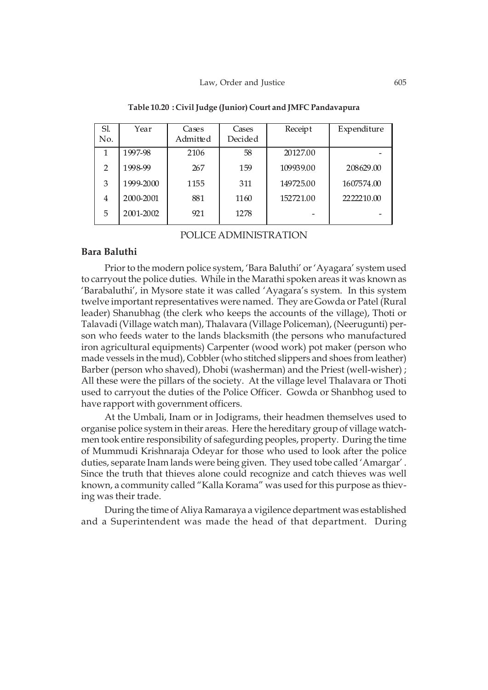| Sl.<br>No.     | Year      | Cases<br>Admitted | Cases<br>Decided | Receipt   | Expenditure |
|----------------|-----------|-------------------|------------------|-----------|-------------|
| 1              | 1997-98   | 2106              | 58               | 20127.00  |             |
| $\mathfrak{D}$ | 1998-99   | 267               | 159              | 109939.00 | 208629.00   |
| 3              | 1999-2000 | 1155              | 311              | 149725.00 | 1607574.00  |
| 4              | 2000-2001 | 881               | 1160             | 152721.00 | 2222210.00  |
| 5              | 2001-2002 | 921               | 1278             |           |             |

**Table 10.20 : Civil Judge (Junior) Court and JMFC Pandavapura**

POLICE ADMINISTRATION

### **Bara Baluthi**

Prior to the modern police system, 'Bara Baluthi' or 'Ayagara' system used to carryout the police duties. While in the Marathi spoken areas it was known as 'Barabaluthi', in Mysore state it was called 'Ayagara's system. In this system twelve important representatives were named. They are Gowda or Patel (Rural leader) Shanubhag (the clerk who keeps the accounts of the village), Thoti or Talavadi (Village watch man), Thalavara (Village Policeman), (Neerugunti) person who feeds water to the lands blacksmith (the persons who manufactured iron agricultural equipments) Carpenter (wood work) pot maker (person who made vessels in the mud), Cobbler (who stitched slippers and shoes from leather) Barber (person who shaved), Dhobi (washerman) and the Priest (well-wisher) ; All these were the pillars of the society. At the village level Thalavara or Thoti used to carryout the duties of the Police Officer. Gowda or Shanbhog used to have rapport with government officers.

At the Umbali, Inam or in Jodigrams, their headmen themselves used to organise police system in their areas. Here the hereditary group of village watchmen took entire responsibility of safegurding peoples, property. During the time of Mummudi Krishnaraja Odeyar for those who used to look after the police duties, separate Inam lands were being given. They used tobe called 'Amargar' . Since the truth that thieves alone could recognize and catch thieves was well known, a community called "Kalla Korama" was used for this purpose as thieving was their trade.

During the time of Aliya Ramaraya a vigilence department was established and a Superintendent was made the head of that department. During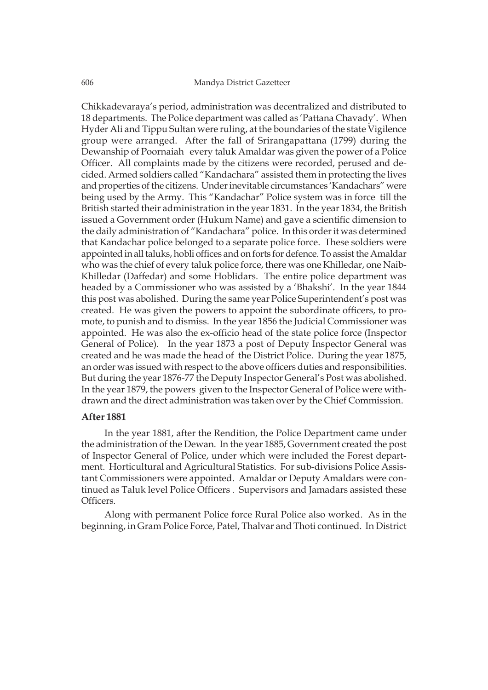Chikkadevaraya's period, administration was decentralized and distributed to 18 departments. The Police department was called as 'Pattana Chavady'. When Hyder Ali and Tippu Sultan were ruling, at the boundaries of the state Vigilence group were arranged. After the fall of Srirangapattana (1799) during the Dewanship of Poornaiah every taluk Amaldar was given the power of a Police Officer. All complaints made by the citizens were recorded, perused and decided. Armed soldiers called "Kandachara" assisted them in protecting the lives and properties of the citizens. Under inevitable circumstances 'Kandachars" were being used by the Army. This "Kandachar" Police system was in force till the British started their administration in the year 1831. In the year 1834, the British issued a Government order (Hukum Name) and gave a scientific dimension to the daily administration of "Kandachara" police. In this order it was determined that Kandachar police belonged to a separate police force. These soldiers were appointed in all taluks, hobli offices and on forts for defence. To assist the Amaldar who was the chief of every taluk police force, there was one Khilledar, one Naib-Khilledar (Daffedar) and some Hoblidars. The entire police department was headed by a Commissioner who was assisted by a 'Bhakshi'. In the year 1844 this post was abolished. During the same year Police Superintendent's post was created. He was given the powers to appoint the subordinate officers, to promote, to punish and to dismiss. In the year 1856 the Judicial Commissioner was appointed. He was also the ex-officio head of the state police force (Inspector General of Police). In the year 1873 a post of Deputy Inspector General was created and he was made the head of the District Police. During the year 1875, an order was issued with respect to the above officers duties and responsibilities. But during the year 1876-77 the Deputy Inspector General's Post was abolished. In the year 1879, the powers given to the Inspector General of Police were withdrawn and the direct administration was taken over by the Chief Commission.

### **After 1881**

In the year 1881, after the Rendition, the Police Department came under the administration of the Dewan. In the year 1885, Government created the post of Inspector General of Police, under which were included the Forest department. Horticultural and Agricultural Statistics. For sub-divisions Police Assistant Commissioners were appointed. Amaldar or Deputy Amaldars were continued as Taluk level Police Officers . Supervisors and Jamadars assisted these Officers.

Along with permanent Police force Rural Police also worked. As in the beginning, in Gram Police Force, Patel, Thalvar and Thoti continued. In District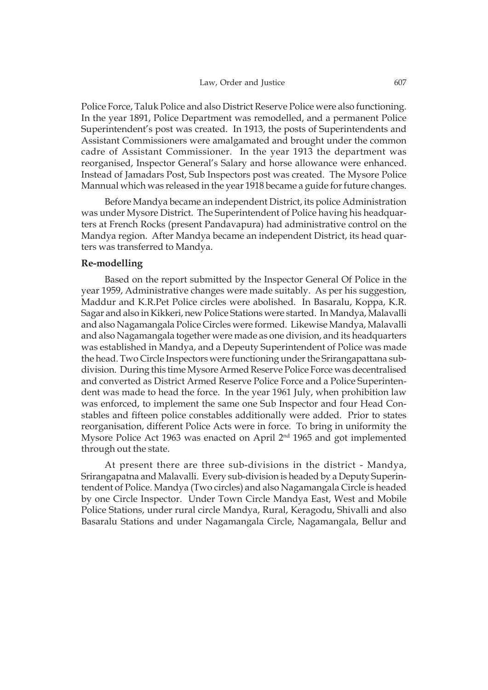Police Force, Taluk Police and also District Reserve Police were also functioning. In the year 1891, Police Department was remodelled, and a permanent Police Superintendent's post was created. In 1913, the posts of Superintendents and Assistant Commissioners were amalgamated and brought under the common cadre of Assistant Commissioner. In the year 1913 the department was reorganised, Inspector General's Salary and horse allowance were enhanced. Instead of Jamadars Post, Sub Inspectors post was created. The Mysore Police Mannual which was released in the year 1918 became a guide for future changes.

Before Mandya became an independent District, its police Administration was under Mysore District. The Superintendent of Police having his headquarters at French Rocks (present Pandavapura) had administrative control on the Mandya region. After Mandya became an independent District, its head quarters was transferred to Mandya.

# **Re-modelling**

Based on the report submitted by the Inspector General Of Police in the year 1959, Administrative changes were made suitably. As per his suggestion, Maddur and K.R.Pet Police circles were abolished. In Basaralu, Koppa, K.R. Sagar and also in Kikkeri, new Police Stations were started. In Mandya, Malavalli and also Nagamangala Police Circles were formed. Likewise Mandya, Malavalli and also Nagamangala together were made as one division, and its headquarters was established in Mandya, and a Depeuty Superintendent of Police was made the head. Two Circle Inspectors were functioning under the Srirangapattana subdivision. During this time Mysore Armed Reserve Police Force was decentralised and converted as District Armed Reserve Police Force and a Police Superintendent was made to head the force. In the year 1961 July, when prohibition law was enforced, to implement the same one Sub Inspector and four Head Constables and fifteen police constables additionally were added. Prior to states reorganisation, different Police Acts were in force. To bring in uniformity the Mysore Police Act 1963 was enacted on April 2<sup>nd</sup> 1965 and got implemented through out the state.

At present there are three sub-divisions in the district - Mandya, Srirangapatna and Malavalli. Every sub-division is headed by a Deputy Superintendent of Police. Mandya (Two circles) and also Nagamangala Circle is headed by one Circle Inspector. Under Town Circle Mandya East, West and Mobile Police Stations, under rural circle Mandya, Rural, Keragodu, Shivalli and also Basaralu Stations and under Nagamangala Circle, Nagamangala, Bellur and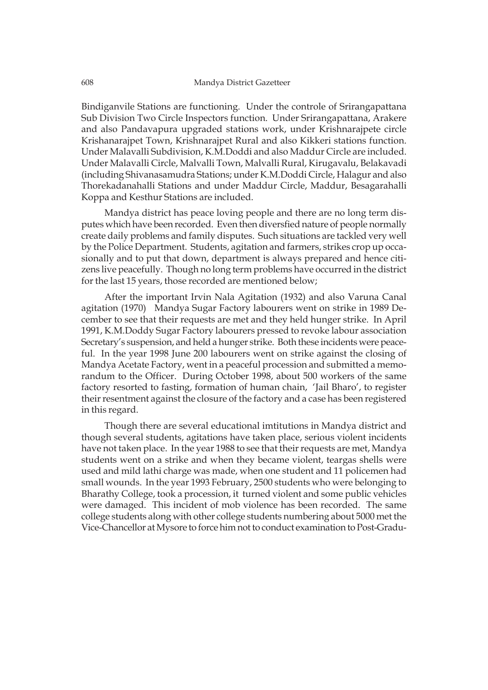Bindiganvile Stations are functioning. Under the controle of Srirangapattana Sub Division Two Circle Inspectors function. Under Srirangapattana, Arakere and also Pandavapura upgraded stations work, under Krishnarajpete circle Krishanarajpet Town, Krishnarajpet Rural and also Kikkeri stations function. Under Malavalli Subdivision, K.M.Doddi and also Maddur Circle are included. Under Malavalli Circle, Malvalli Town, Malvalli Rural, Kirugavalu, Belakavadi (including Shivanasamudra Stations; under K.M.Doddi Circle, Halagur and also Thorekadanahalli Stations and under Maddur Circle, Maddur, Besagarahalli Koppa and Kesthur Stations are included.

Mandya district has peace loving people and there are no long term disputes which have been recorded. Even then diversfied nature of people normally create daily problems and family disputes. Such situations are tackled very well by the Police Department. Students, agitation and farmers, strikes crop up occasionally and to put that down, department is always prepared and hence citizens live peacefully. Though no long term problems have occurred in the district for the last 15 years, those recorded are mentioned below;

After the important Irvin Nala Agitation (1932) and also Varuna Canal agitation (1970) Mandya Sugar Factory labourers went on strike in 1989 December to see that their requests are met and they held hunger strike. In April 1991, K.M.Doddy Sugar Factory labourers pressed to revoke labour association Secretary's suspension, and held a hunger strike. Both these incidents were peaceful. In the year 1998 June 200 labourers went on strike against the closing of Mandya Acetate Factory, went in a peaceful procession and submitted a memorandum to the Officer. During October 1998, about 500 workers of the same factory resorted to fasting, formation of human chain, 'Jail Bharo', to register their resentment against the closure of the factory and a case has been registered in this regard.

Though there are several educational imtitutions in Mandya district and though several students, agitations have taken place, serious violent incidents have not taken place. In the year 1988 to see that their requests are met, Mandya students went on a strike and when they became violent, teargas shells were used and mild lathi charge was made, when one student and 11 policemen had small wounds. In the year 1993 February, 2500 students who were belonging to Bharathy College, took a procession, it turned violent and some public vehicles were damaged. This incident of mob violence has been recorded. The same college students along with other college students numbering about 5000 met the Vice-Chancellor at Mysore to force him not to conduct examination to Post-Gradu-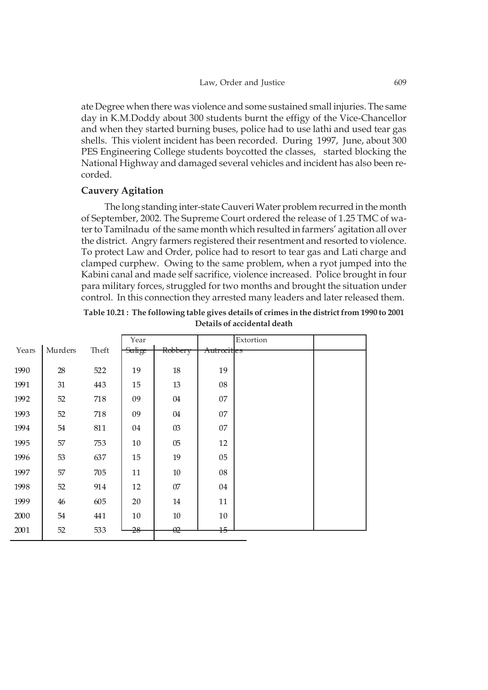ate Degree when there was violence and some sustained small injuries. The same day in K.M.Doddy about 300 students burnt the effigy of the Vice-Chancellor and when they started burning buses, police had to use lathi and used tear gas shells. This violent incident has been recorded. During 1997, June, about 300 PES Engineering College students boycotted the classes, started blocking the National Highway and damaged several vehicles and incident has also been recorded.

# **Cauvery Agitation**

The long standing inter-state Cauveri Water problem recurred in the month of September, 2002. The Supreme Court ordered the release of 1.25 TMC of water to Tamilnadu of the same month which resulted in farmers' agitation all over the district. Angry farmers registered their resentment and resorted to violence. To protect Law and Order, police had to resort to tear gas and Lati charge and clamped curphew. Owing to the same problem, when a ryot jumped into the Kabini canal and made self sacrifice, violence increased. Police brought in four para military forces, struggled for two months and brought the situation under control. In this connection they arrested many leaders and later released them.

|       |         |       | Year          |                |                        | Extortion |  |
|-------|---------|-------|---------------|----------------|------------------------|-----------|--|
| Years | Murders | Theft | <b>Sulige</b> | Robbery        | <del>Autrocitles</del> |           |  |
| 1990  | 28      | 522   | 19            | $18\,$         | 19                     |           |  |
| 1991  | 31      | 443   | 15            | 13             | 08                     |           |  |
| 1992  | 52      | 718   | 09            | 04             | 07                     |           |  |
| 1993  | 52      | 718   | 09            | 04             | 07                     |           |  |
| 1994  | 54      | 811   | 04            | 03             | 07                     |           |  |
| 1995  | 57      | 753   | 10            | 0 <sub>5</sub> | 12                     |           |  |
| 1996  | 53      | 637   | 15            | 19             | 05                     |           |  |
| 1997  | 57      | 705   | 11            | $10\,$         | 08                     |           |  |
| 1998  | 52      | 914   | 12            | $07$           | 04                     |           |  |
| 1999  | 46      | 605   | 20            | 14             | 11                     |           |  |
| 2000  | 54      | 441   | 10            | 10             | 10                     |           |  |
| 2001  | 52      | 533   | 28            | $\theta$ 2     | $+5$                   |           |  |

**Table 10.21 : The following table gives details of crimes in the district from 1990 to 2001 Details of accidental death**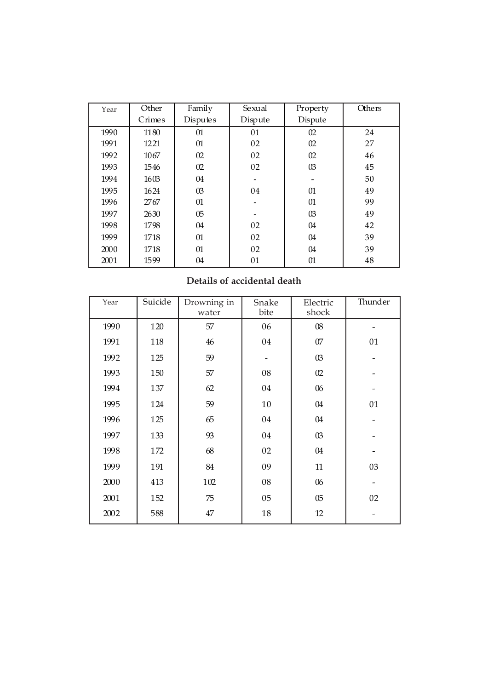| Year | Other  | Family         | Sexual  | Property | <b>Others</b> |
|------|--------|----------------|---------|----------|---------------|
|      | Crimes | Disputes       | Dispute | Dispute  |               |
| 1990 | 1180   | 01             | 01      | 02       | 24            |
| 1991 | 1221   | 01             | 02      | 02       | 27            |
| 1992 | 1067   | 02             | 02      | 02       | 46            |
| 1993 | 1546   | 02             | 02      | $\Omega$ | 45            |
| 1994 | 1603   | 04             |         |          | 50            |
| 1995 | 1624   | $\Omega$       | 04      | 01       | 49            |
| 1996 | 2767   | 01             |         | 01       | 99            |
| 1997 | 2630   | 0 <sub>5</sub> |         | $\Omega$ | 49            |
| 1998 | 1798   | 04             | 02      | 04       | 42            |
| 1999 | 1718   | 01             | 02      | 04       | 39            |
| 2000 | 1718   | 01             | 02      | 04       | 39            |
| 2001 | 1599   | 04             | 01      | 01       | 48            |

# **Details of accidental death**

| Year | Suicide | Drowning in<br>water | Snake<br>bite | Electric<br>shock | Thunder |
|------|---------|----------------------|---------------|-------------------|---------|
| 1990 | 120     | 57                   | 06            | 08                |         |
| 1991 | 118     | 46                   | 04            | 07                | 01      |
| 1992 | 125     | 59                   |               | 03                |         |
| 1993 | 150     | 57                   | 08            | 02                |         |
| 1994 | 137     | 62                   | 04            | 06                |         |
| 1995 | 124     | 59                   | 10            | 04                | 01      |
| 1996 | 125     | 65                   | 04            | 04                |         |
| 1997 | 133     | 93                   | 04            | 03                |         |
| 1998 | 172     | 68                   | 02            | 04                |         |
| 1999 | 191     | 84                   | 09            | 11                | 03      |
| 2000 | 413     | 102                  | 08            | 06                |         |
| 2001 | 152     | 75                   | 05            | 0 <sub>5</sub>    | 02      |
| 2002 | 588     | 47                   | 18            | 12                |         |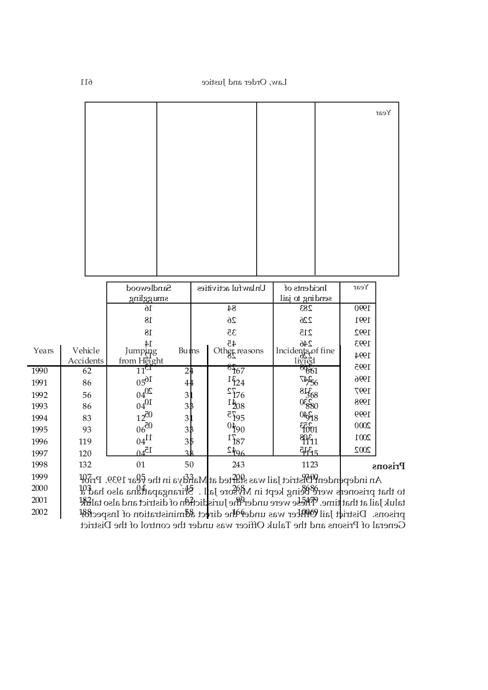|       |                                  |                              |                |                                   |                     |  |                                                                                                                  |  |      | Year |
|-------|----------------------------------|------------------------------|----------------|-----------------------------------|---------------------|--|------------------------------------------------------------------------------------------------------------------|--|------|------|
|       |                                  |                              |                |                                   |                     |  |                                                                                                                  |  |      |      |
|       |                                  |                              |                |                                   |                     |  |                                                                                                                  |  |      |      |
|       |                                  |                              |                |                                   |                     |  |                                                                                                                  |  |      |      |
|       |                                  |                              |                |                                   |                     |  |                                                                                                                  |  |      |      |
|       |                                  |                              |                |                                   |                     |  |                                                                                                                  |  |      |      |
|       |                                  |                              |                |                                   |                     |  |                                                                                                                  |  |      |      |
|       |                                  |                              |                |                                   |                     |  |                                                                                                                  |  |      |      |
|       |                                  |                              |                |                                   |                     |  |                                                                                                                  |  |      |      |
|       |                                  |                              |                |                                   |                     |  |                                                                                                                  |  |      |      |
|       |                                  |                              |                |                                   |                     |  |                                                                                                                  |  |      |      |
|       |                                  |                              |                |                                   |                     |  |                                                                                                                  |  |      |      |
|       |                                  | Sandlewood                   |                |                                   | Unlawful activities |  | Incidents of                                                                                                     |  | Year |      |
|       |                                  | smuggling                    |                |                                   |                     |  | sending to jail                                                                                                  |  |      |      |
|       |                                  | 16                           |                |                                   | $\bf 84$            |  | 283                                                                                                              |  | 1990 |      |
|       |                                  | 18                           |                |                                   | 26                  |  | 226                                                                                                              |  | 1991 |      |
|       |                                  | $18\,$                       |                |                                   | 35                  |  |                                                                                                                  |  | 1992 |      |
| Years | Vehicle                          | $14\,$<br>Jumping            | Buins          |                                   | 45                  |  |                                                                                                                  |  | 1993 |      |
|       | Accidents                        |                              |                |                                   | Other reasons       |  |                                                                                                                  |  | 1994 |      |
| 1990  | 62                               | from Height $11^{\text{ch}}$ | 2 <sub>1</sub> | $\delta$ f67                      |                     |  | 215<br>$\frac{246}{\text{96}}$<br>$\frac{126}{\text{100}}$<br>$\frac{126}{\text{100}}$<br>$\frac{12}{\text{20}}$ |  | 1995 |      |
| 1991  | 86                               | $16_{00}$                    | $4+$           | $1\xi_1^3$                        |                     |  | 1456<br>81568<br>06580<br>09518                                                                                  |  | 1996 |      |
| 1992  | $0402$<br>$10401$<br>$120$<br>56 |                              | 3 <sup>1</sup> |                                   |                     |  |                                                                                                                  |  | 1997 |      |
| 1993  | 86                               |                              | $3\frac{1}{2}$ |                                   |                     |  |                                                                                                                  |  | 1998 |      |
| 1994  | 83                               |                              | 3 <sup>1</sup> | $rac{1}{805}$<br>$80\frac{41}{5}$ |                     |  |                                                                                                                  |  | 1999 |      |

#### **Prisons**  $1997$  120  $04^{c1}$  38  $-196$  1 1115 1998 132 01 50 243 1123

An independent District Jail was started at Mandya in the  $\mathit{f}$ ear 1939. Pri $\mathit{df}$ to that prisoners were being kept in Mysore Jall . S<del>r</del>irangapat<del>t</del>ana also had a taluk Jail at that time. These were under the Jurisdiction of district and also taluk prisons. District Jail Officer was under the direct administration of Inspector  $1\quad$   $1\quad$   $2002$ General of Prisons and the Taluk Officer was under the control of the District  $1999$  107  $\frac{107}{107}$  1088  $\frac{109}{107}$  and  $\frac{109}{107}$  in the  $\frac{109}{107}$  1030  $\frac{107}{107}$  $\frac{2000}{400}$  1000 1000 1000 1000 10000 10000 10000 10000 10000 10000 10000 10000 10000 10000 10000 10000 10000 10000 10000 10000 10000 10000 10000 10000 10000 10000 10000 10000 10000 10000 10000 10000 10000 10000 10000  $\mathbb{R}$ 

 $2000$   $100$   $100$   $100$   $100$   $100$  $2001$   $1308$   $1 \quad 507$   $1 \quad 1 \quad 1$  $2002$   $-345$   $-642$   $48$ 

 $1995$  93  $06^{00}$  3\$  $190$  10001  $1996$  119  $04^{11}$  3.5  $187$  187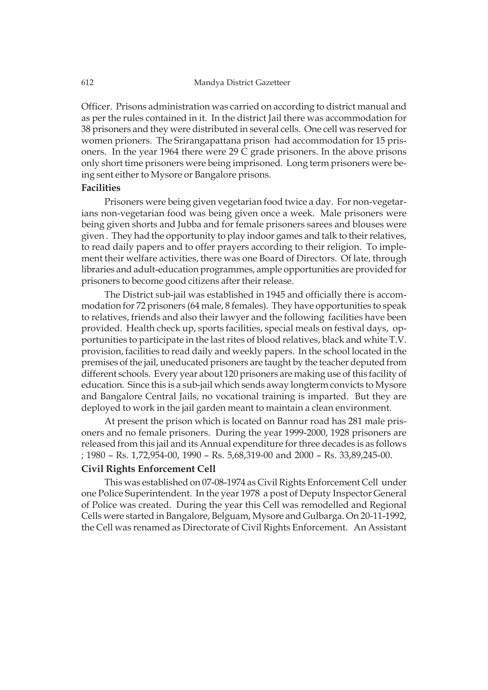Officer. Prisons administration was carried on according to district manual and as per the rules contained in it. In the district Jail there was accommodation for 38 prisoners and they were distributed in several cells. One cell was reserved for women prioners. The Srirangapattana prison had accommodation for 15 prisoners. In the year 1964 there were 29 C grade prisoners. In the above prisons only short time prisoners were being imprisoned. Long term prisoners were being sent either to Mysore or Bangalore prisons.

### **Facilities**

Prisoners were being given vegetarian food twice a day. For non-vegetarians non-vegetarian food was being given once a week. Male prisoners were being given shorts and Jubba and for female prisoners sarees and blouses were given . They had the opportunity to play indoor games and talk to their relatives, to read daily papers and to offer prayers according to their religion. To implement their welfare activities, there was one Board of Directors. Of late, through libraries and adult-education programmes, ample opportunities are provided for prisoners to become good citizens after their release.

The District sub-jail was established in 1945 and officially there is accommodation for 72 prisoners (64 male, 8 females). They have opportunities to speak to relatives, friends and also their lawyer and the following facilities have been provided. Health check up, sports facilities, special meals on festival days, opportunities to participate in the last rites of blood relatives, black and white T.V. provision, facilities to read daily and weekly papers. In the school located in the premises of the jail, uneducated prisoners are taught by the teacher deputed from different schools. Every year about 120 prisoners are making use of this facility of education. Since this is a sub-jail which sends away longterm convicts to Mysore and Bangalore Central Jails, no vocational training is imparted. But they are deployed to work in the jail garden meant to maintain a clean environment.

At present the prison which is located on Bannur road has 281 male prisoners and no female prisoners. During the year 1999-2000, 1928 prisoners are released from this jail and its Annual expenditure for three decades is as follows ; 1980 – Rs. 1,72,954-00, 1990 – Rs. 5,68,319-00 and 2000 – Rs. 33,89,245-00.

#### **Civil Rights Enforcement Cell**

This was established on 07-08-1974 as Civil Rights Enforcement Cell under one Police Superintendent. In the year 1978 a post of Deputy Inspector General of Police was created. During the year this Cell was remodelled and Regional Cells were started in Bangalore, Belguam, Mysore and Gulbarga. On 20-11-1992, the Cell was renamed as Directorate of Civil Rights Enforcement. An Assistant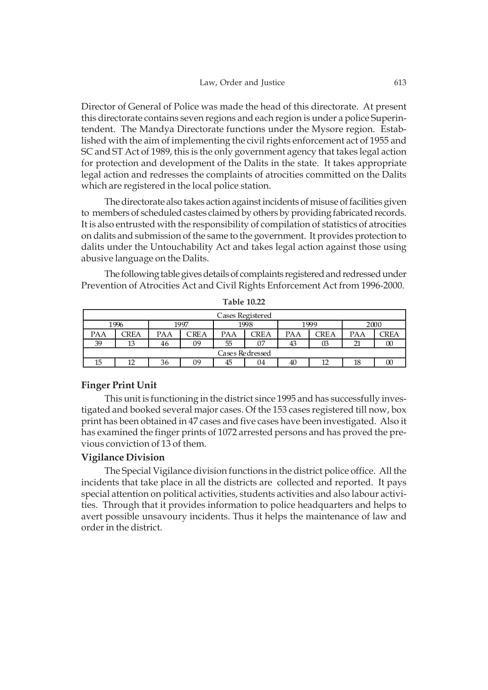Director of General of Police was made the head of this directorate. At present this directorate contains seven regions and each region is under a police Superintendent. The Mandya Directorate functions under the Mysore region. Established with the aim of implementing the civil rights enforcement act of 1955 and SC and ST Act of 1989, this is the only government agency that takes legal action for protection and development of the Dalits in the state. It takes appropriate legal action and redresses the complaints of atrocities committed on the Dalits which are registered in the local police station.

The directorate also takes action against incidents of misuse of facilities given to members of scheduled castes claimed by others by providing fabricated records. It is also entrusted with the responsibility of compilation of statistics of atrocities on dalits and submission of the same to the government. It provides protection to dalits under the Untouchability Act and takes legal action against those using abusive language on the Dalits.

The following table gives details of complaints registered and redressed under Prevention of Atrocities Act and Civil Rights Enforcement Act from 1996-2000.

| Cases Registered |             |     |      |     |      |     |      |     |      |  |
|------------------|-------------|-----|------|-----|------|-----|------|-----|------|--|
|                  | 1996        |     | 1997 |     | 1998 |     | 1999 |     | 2000 |  |
| PAA              | <b>CREA</b> | PAA | CREA | PAA | CREA | PAA | CREA | PAA | TREA |  |
| 39               | 13          | 46  | 09   | 55  | 07   | 43  | 03   | 21  | 00   |  |
| Cases Redressed  |             |     |      |     |      |     |      |     |      |  |
| 15               |             | 36  | 09   | 45  | 04   | 40  | 12   | 18  | w    |  |

**Table 10.22**

### **Finger Print Unit**

This unit is functioning in the district since 1995 and has successfully investigated and booked several major cases. Of the 153 cases registered till now, box print has been obtained in 47 cases and five cases have been investigated. Also it has examined the finger prints of 1072 arrested persons and has proved the previous conviction of 13 of them.

### **Vigilance Division**

The Special Vigilance division functions in the district police office. All the incidents that take place in all the districts are collected and reported. It pays special attention on political activities, students activities and also labour activities. Through that it provides information to police headquarters and helps to avert possible unsavoury incidents. Thus it helps the maintenance of law and order in the district.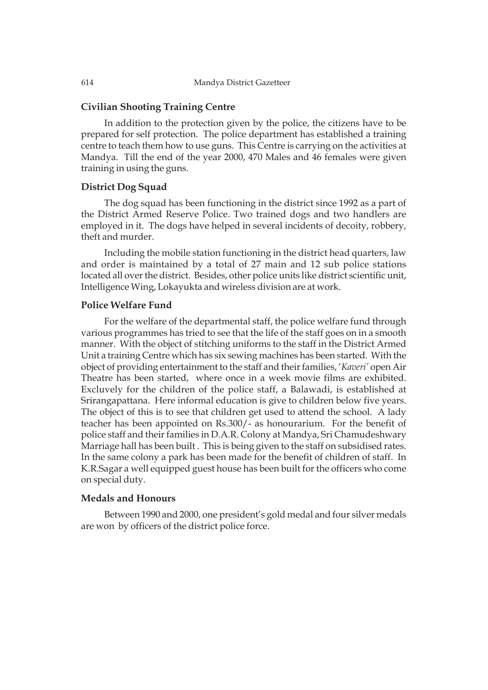### **Civilian Shooting Training Centre**

In addition to the protection given by the police, the citizens have to be prepared for self protection. The police department has established a training centre to teach them how to use guns. This Centre is carrying on the activities at Mandya. Till the end of the year 2000, 470 Males and 46 females were given training in using the guns.

### **District Dog Squad**

The dog squad has been functioning in the district since 1992 as a part of the District Armed Reserve Police. Two trained dogs and two handlers are employed in it. The dogs have helped in several incidents of decoity, robbery, theft and murder.

Including the mobile station functioning in the district head quarters, law and order is maintained by a total of 27 main and 12 sub police stations located all over the district. Besides, other police units like district scientific unit, Intelligence Wing, Lokayukta and wireless division are at work.

### **Police Welfare Fund**

For the welfare of the departmental staff, the police welfare fund through various programmes has tried to see that the life of the staff goes on in a smooth manner. With the object of stitching uniforms to the staff in the District Armed Unit a training Centre which has six sewing machines has been started. With the object of providing entertainment to the staff and their families, '*Kaveri'* open Air Theatre has been started, where once in a week movie films are exhibited. Excluvely for the children of the police staff, a Balawadi, is established at Srirangapattana. Here informal education is give to children below five years. The object of this is to see that children get used to attend the school. A lady teacher has been appointed on Rs.300/- as honourarium. For the benefit of police staff and their families in D.A.R. Colony at Mandya, Sri Chamudeshwary Marriage hall has been built . This is being given to the staff on subsidised rates. In the same colony a park has been made for the benefit of children of staff. In K.R.Sagar a well equipped guest house has been built for the officers who come on special duty.

# **Medals and Honours**

Between 1990 and 2000, one president's gold medal and four silver medals are won by officers of the district police force.